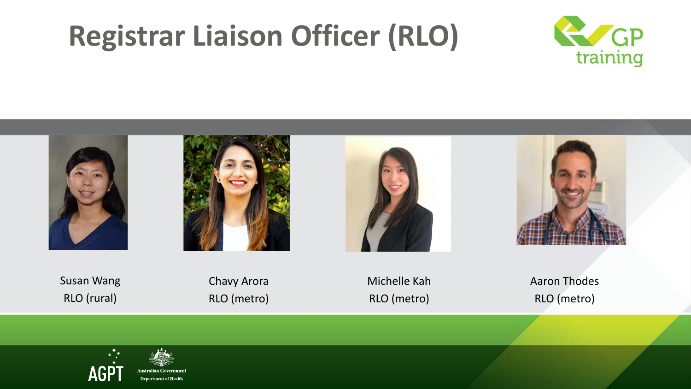# **Registrar Liaison Officer (RLO)**











Susan Wang RLO (rural)

Chavy Arora RLO (metro)

Michelle Kah RLO (metro)

Aaron Thodes RLO (metro)

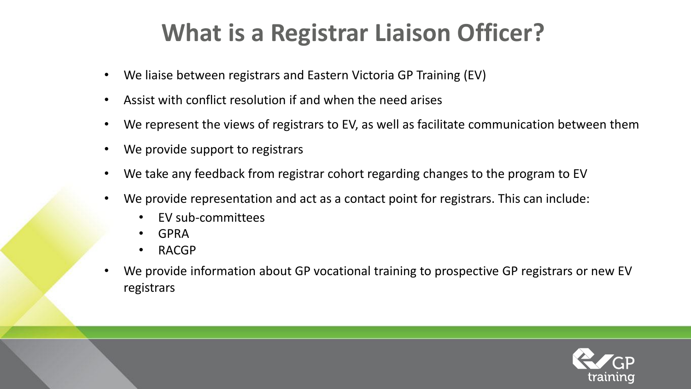# **What is a Registrar Liaison Officer?**

- We liaise between registrars and Eastern Victoria GP Training (EV)
- Assist with conflict resolution if and when the need arises
- We represent the views of registrars to EV, as well as facilitate communication between them
- We provide support to registrars
- We take any feedback from registrar cohort regarding changes to the program to EV
- We provide representation and act as a contact point for registrars. This can include:
	- EV sub-committees
	- GPRA
	- RACGP
- We provide information about GP vocational training to prospective GP registrars or new EV registrars

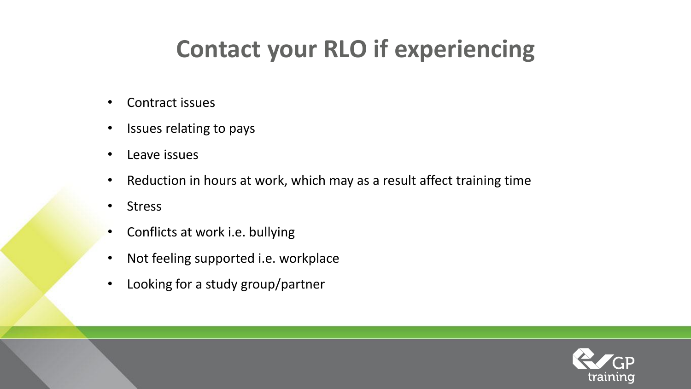# **Contact your RLO if experiencing**

- Contract issues
- Issues relating to pays
- Leave issues
- Reduction in hours at work, which may as a result affect training time
- Stress
- Conflicts at work i.e. bullying
- Not feeling supported i.e. workplace
- Looking for a study group/partner

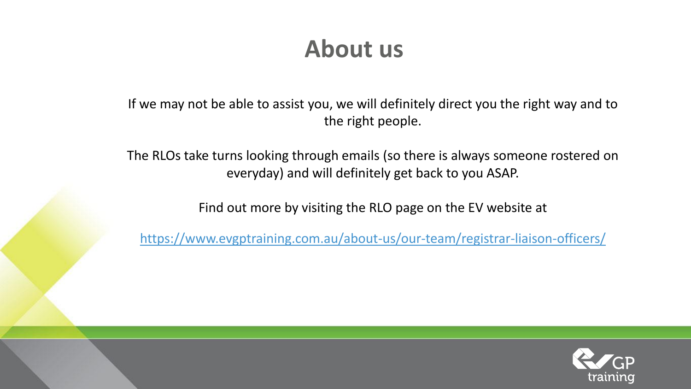### **About us**

If we may not be able to assist you, we will definitely direct you the right way and to the right people.

The RLOs take turns looking through emails (so there is always someone rostered on everyday) and will definitely get back to you ASAP.

Find out more by visiting the RLO page on the EV website at

<https://www.evgptraining.com.au/about-us/our-team/registrar-liaison-officers/>

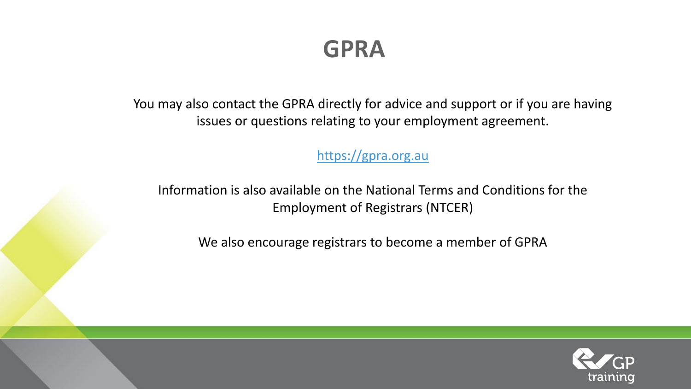**GPRA** 

You may also contact the GPRA directly for advice and support or if you are having issues or questions relating to your employment agreement.

[https://gpra.org.au](https://gpra.org.au/)

Information is also available on the National Terms and Conditions for the Employment of Registrars (NTCER)

We also encourage registrars to become a member of GPRA